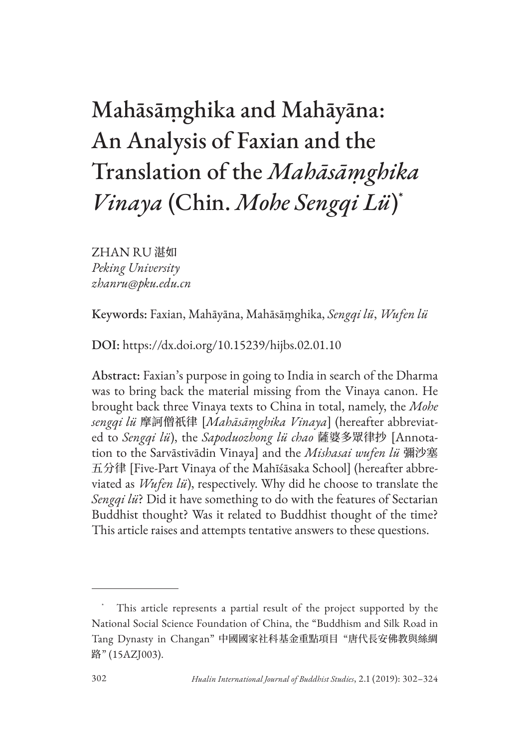# Mahāsāṃghika and Mahāyāna: An Analysis of Faxian and the Translation of the *Mahāsāṃghika Vinaya* (Chin. *Mohe Sengqi Lü*) \*

ZHAN RU 湛如 *Peking University zhanru@pku.edu.cn*

Keywords: Faxian, Mahāyāna, Mahāsāṃghika, *Sengqi lü*, *Wufen lü*

DOI: https://dx.doi.org/10.15239/hijbs.02.01.10

Abstract: Faxian's purpose in going to India in search of the Dharma was to bring back the material missing from the Vinaya canon. He brought back three Vinaya texts to China in total, namely, the *Mohe sengqi lü* 摩訶僧祇律 [*Mahāsāṃghika Vinaya*] (hereafter abbreviated to *Sengqi lü*), the *Sapoduozhong lü chao* 薩婆多眾律抄 [Annotation to the Sarvāstivādin Vinaya] and the *Mishasai wufen lü* 彌沙塞 五分律 [Five-Part Vinaya of the Mahīśāsaka School] (hereafter abbreviated as *Wufen lü*), respectively. Why did he choose to translate the *Sengqi lü*? Did it have something to do with the features of Sectarian Buddhist thought? Was it related to Buddhist thought of the time? This article raises and attempts tentative answers to these questions.

This article represents a partial result of the project supported by the National Social Science Foundation of China, the "Buddhism and Silk Road in Tang Dynasty in Changan" 中國國家社科基金重點項目 "唐代長安佛教與絲綢 路" (15AZJ003).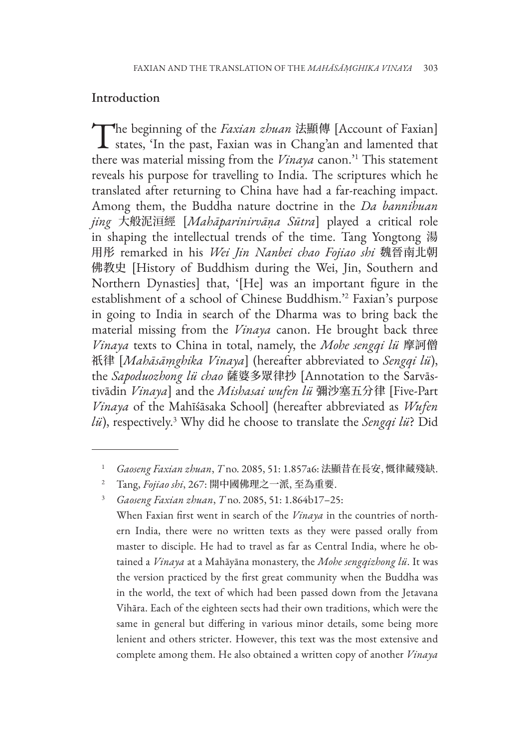## Introduction

The beginning of the *Faxian zhuan* 法顯傳 [Account of Faxian]<br>states, 'In the past, Faxian was in Chang'an and lamented that there was material missing from the *Vinaya* canon.'1 This statement reveals his purpose for travelling to India. The scriptures which he translated after returning to China have had a far-reaching impact. Among them, the Buddha nature doctrine in the *Da bannihuan jing* 大般泥洹經 [*Mahāparinirvāṇa Sūtra*] played a critical role in shaping the intellectual trends of the time. Tang Yongtong 湯 用彤 remarked in his *Wei Jin Nanbei chao Fojiao shi* 魏晉南北朝 佛教史 [History of Buddhism during the Wei, Jin, Southern and Northern Dynasties] that, '[He] was an important figure in the establishment of a school of Chinese Buddhism.'2 Faxian's purpose in going to India in search of the Dharma was to bring back the material missing from the *Vinaya* canon. He brought back three *Vinaya* texts to China in total, namely, the *Mohe sengqi lü* 摩訶僧 祇律 [*Mahāsāṃghika Vinaya*] (hereafter abbreviated to *Sengqi lü*), the *Sapoduozhong lü chao* 薩婆多眾律抄 [Annotation to the Sarvāstivādin *Vinaya*] and the *Mishasai wufen lü* 彌沙塞五分律 [Five-Part *Vinaya* of the Mahīśāsaka School] (hereafter abbreviated as *Wufen lü*), respectively.3 Why did he choose to translate the *Sengqi lü*? Did

When Faxian first went in search of the *Vinaya* in the countries of northern India, there were no written texts as they were passed orally from master to disciple. He had to travel as far as Central India, where he obtained a *Vinaya* at a Mahāyāna monastery, the *Mohe sengqizhong lü*. It was the version practiced by the first great community when the Buddha was in the world, the text of which had been passed down from the Jetavana Vihāra. Each of the eighteen sects had their own traditions, which were the same in general but differing in various minor details, some being more lenient and others stricter. However, this text was the most extensive and complete among them. He also obtained a written copy of another *Vinaya*

<sup>1</sup> *Gaoseng Faxian zhuan*, *T* no. 2085, 51: 1.857a6: 法顯昔在長安, 慨律藏殘缺.

<sup>2</sup> Tang, *Fojiao shi*, 267: 開中國佛理之一派, 至為重要.

<sup>3</sup> *Gaoseng Faxian zhuan*, *T* no. 2085, 51: 1.864b17–25: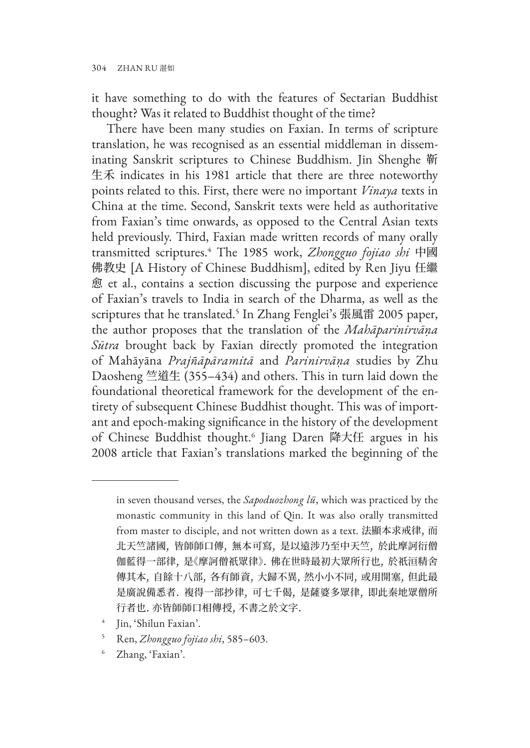it have something to do with the features of Sectarian Buddhist thought? Was it related to Buddhist thought of the time?

There have been many studies on Faxian. In terms of scripture translation, he was recognised as an essential middleman in disseminating Sanskrit scriptures to Chinese Buddhism. Jin Shenghe 靳 生禾 indicates in his 1981 article that there are three noteworthy points related to this. First, there were no important *Vinaya* texts in China at the time. Second, Sanskrit texts were held as authoritative from Faxian's time onwards, as opposed to the Central Asian texts held previously. Third, Faxian made written records of many orally transmitted scriptures.4 The 1985 work, *Zhongguo fojiao shi* 中國 佛教史 [A History of Chinese Buddhism], edited by Ren Jiyu 任繼 愈 et al., contains a section discussing the purpose and experience of Faxian's travels to India in search of the Dharma, as well as the scriptures that he translated.5 In Zhang Fenglei's 張風雷 2005 paper, the author proposes that the translation of the *Mahāparinirvāṇa Sūtra* brought back by Faxian directly promoted the integration of Mahāyāna *Prajñāpāramitā* and *Parinirvāṇa* studies by Zhu Daosheng 竺道生 (355–434) and others. This in turn laid down the foundational theoretical framework for the development of the entirety of subsequent Chinese Buddhist thought. This was of important and epoch-making significance in the history of the development of Chinese Buddhist thought.<sup>6</sup> Jiang Daren 降大任 argues in his 2008 article that Faxian's translations marked the beginning of the

- <sup>4</sup> Jin, 'Shilun Faxian'.
- <sup>5</sup> Ren, *Zhongguo fojiao shi*, 585–603.
- <sup>6</sup> Zhang, 'Faxian'.

in seven thousand verses, the *Sapoduozhong lü*, which was practiced by the monastic community in this land of Qin. It was also orally transmitted from master to disciple, and not written down as a text. 法顯本求戒律, 而 北天竺諸國, 皆師師口傳, 無本可寫, 是以遠涉乃至中天竺, 於此摩訶衍僧 伽藍得一部律, 是《摩訶僧祇眾律》. 佛在世時最初大眾所行也, 於祇洹精舍 傳其本, 自餘十八部, 各有師資, 大歸不異, 然小小不同, 或用開塞, 但此最 是廣說備悉者. 複得一部抄律, 可七千偈, 是薩婆多眾律, 即此秦地眾僧所 行者也. 亦皆師師口相傳授, 不書之於文字.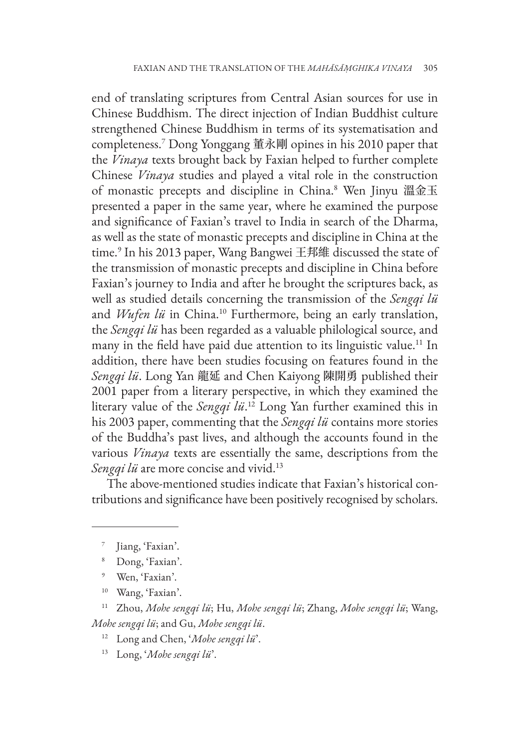end of translating scriptures from Central Asian sources for use in Chinese Buddhism. The direct injection of Indian Buddhist culture strengthened Chinese Buddhism in terms of its systematisation and completeness.7 Dong Yonggang 董永剛 opines in his 2010 paper that the *Vinaya* texts brought back by Faxian helped to further complete Chinese *Vinaya* studies and played a vital role in the construction of monastic precepts and discipline in China.<sup>8</sup> Wen Jinyu 溫金玉 presented a paper in the same year, where he examined the purpose and significance of Faxian's travel to India in search of the Dharma, as well as the state of monastic precepts and discipline in China at the time.9 In his 2013 paper, Wang Bangwei 王邦維 discussed the state of the transmission of monastic precepts and discipline in China before Faxian's journey to India and after he brought the scriptures back, as well as studied details concerning the transmission of the *Sengqi lü* and *Wufen lü* in China.<sup>10</sup> Furthermore, being an early translation, the *Sengqi lü* has been regarded as a valuable philological source, and many in the field have paid due attention to its linguistic value.<sup>11</sup> In addition, there have been studies focusing on features found in the *Sengqi lü*. Long Yan 龍延 and Chen Kaiyong 陳開勇 published their 2001 paper from a literary perspective, in which they examined the literary value of the *Sengqi lü*. 12 Long Yan further examined this in his 2003 paper, commenting that the *Sengqi lü* contains more stories of the Buddha's past lives, and although the accounts found in the various *Vinaya* texts are essentially the same, descriptions from the *Sengqi lü* are more concise and vivid.<sup>13</sup>

The above-mentioned studies indicate that Faxian's historical contributions and significance have been positively recognised by scholars.

<sup>7</sup> Jiang, 'Faxian'.

<sup>8</sup> Dong, 'Faxian'.

<sup>9</sup> Wen, 'Faxian'.

<sup>10</sup> Wang, 'Faxian'.

<sup>11</sup> Zhou, *Mohe sengqi lü*; Hu, *Mohe sengqi lü*; Zhang, *Mohe sengqi lü*; Wang, *Mohe sengqi lü*; and Gu, *Mohe sengqi lü*.

<sup>12</sup> Long and Chen, '*Mohe sengqi lü*'.

<sup>13</sup> Long, '*Mohe sengqi lü*'.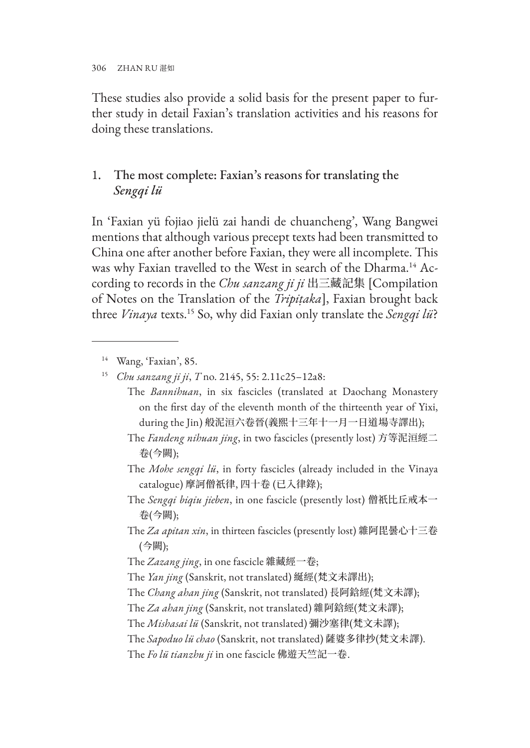306 ZHAN RU 湛如

These studies also provide a solid basis for the present paper to further study in detail Faxian's translation activities and his reasons for doing these translations.

## 1. The most complete: Faxian's reasons for translating the *Sengqi lü*

In 'Faxian yü fojiao jielü zai handi de chuancheng', Wang Bangwei mentions that although various precept texts had been transmitted to China one after another before Faxian, they were all incomplete. This was why Faxian travelled to the West in search of the Dharma.<sup>14</sup> According to records in the *Chu sanzang ji ji* 出三藏記集 [Compilation of Notes on the Translation of the *Tripiṭaka*], Faxian brought back three *Vinaya* texts.15 So, why did Faxian only translate the *Sengqi lü*?

<sup>14</sup> Wang, 'Faxian', 85.

- The *Bannihuan*, in six fascicles (translated at Daochang Monastery on the first day of the eleventh month of the thirteenth year of Yixi, during the Jin) 般泥洹六卷晉(義熙十三年十一月一日道場寺譯出);
- The *Fandeng nihuan jing*, in two fascicles (presently lost) 方等泥洹經二 卷(今闕);
- The *Mohe sengqi lü*, in forty fascicles (already included in the Vinaya catalogue) 摩訶僧祇律, 四十卷 (已入律錄);
- The *Sengqi biqiu jieben*, in one fascicle (presently lost) 僧祇比丘戒本一 卷(今闕);
- The *Za apitan xin*, in thirteen fascicles (presently lost) 雜阿毘曇心十三卷 (今闕);
- The *Zazang jing*, in one fascicle 雜藏經一卷;
- The *Yan jing* (Sanskrit, not translated) 綖經(梵文未譯出);
- The *Chang ahan jing* (Sanskrit, not translated) 長阿鋡經(梵文未譯);
- The *Za ahan jing* (Sanskrit, not translated) 雜阿鋡經(梵文未譯);

The *Mishasai lü* (Sanskrit, not translated) 彌沙塞律(梵文未譯);

The *Sapoduo lü chao* (Sanskrit, not translated) 薩婆多律抄(梵文未譯).

The *Fo lü tianzhu ji* in one fascicle 佛遊天竺記一卷.

<sup>15</sup> *Chu sanzang ji ji*, *T* no. 2145, 55: 2.11c25–12a8: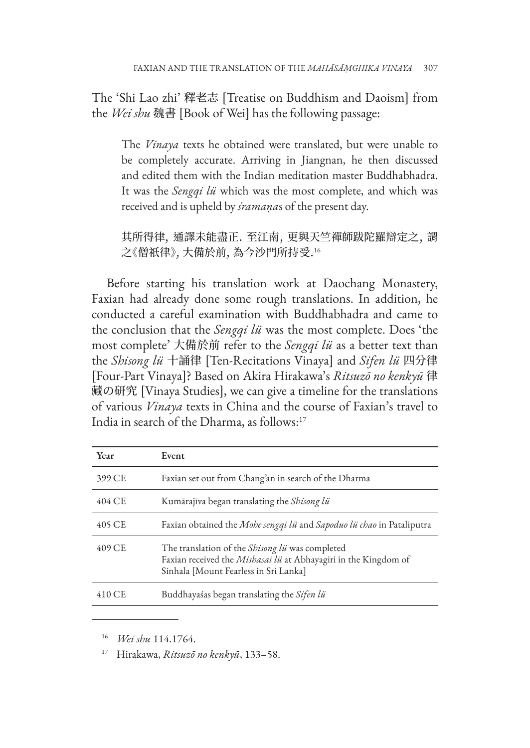The 'Shi Lao zhi' 釋老志 [Treatise on Buddhism and Daoism] from the *Wei shu* 魏書 [Book of Wei] has the following passage:

The *Vinaya* texts he obtained were translated, but were unable to be completely accurate. Arriving in Jiangnan, he then discussed and edited them with the Indian meditation master Buddhabhadra. It was the *Sengqi lü* which was the most complete, and which was received and is upheld by *śramaṇa*s of the present day.

其所得律, 通譯未能盡正. 至江南, 更與天竺禪師跋陀羅辯定之, 謂 之《僧祇律》, 大備於前, 為今沙門所持受.<sup>16</sup>

Before starting his translation work at Daochang Monastery, Faxian had already done some rough translations. In addition, he conducted a careful examination with Buddhabhadra and came to the conclusion that the *Sengqi lü* was the most complete. Does 'the most complete' 大備於前 refer to the *Sengqi lü* as a better text than the *Shisong lü* 十誦律 [Ten-Recitations Vinaya] and *Sifen lü* 四分律 [Four-Part Vinaya]? Based on Akira Hirakawa's *Ritsuzō no kenkyū* 律 藏の研究 [Vinaya Studies], we can give a timeline for the translations of various *Vinaya* texts in China and the course of Faxian's travel to India in search of the Dharma, as follows:17

| Year     | Event                                                                                                                                                              |
|----------|--------------------------------------------------------------------------------------------------------------------------------------------------------------------|
| 399 CE   | Faxian set out from Chang'an in search of the Dharma                                                                                                               |
| 404 C.F. | Kumārajīva began translating the Shisong lü                                                                                                                        |
| 405 CE   | Faxian obtained the Mohe sengqi lü and Sapoduo lü chao in Pataliputra                                                                                              |
| 409 CE   | The translation of the <i>Shisong lü</i> was completed<br>Faxian received the Mishasai lü at Abhayagiri in the Kingdom of<br>Sinhala [Mount Fearless in Sri Lanka] |
| 410 CE   | Buddhayaśas began translating the Sifen lü                                                                                                                         |

<sup>16</sup> *Wei shu* 114.1764.

<sup>17</sup> Hirakawa, *Ritsuzō no kenkyū*, 133–58.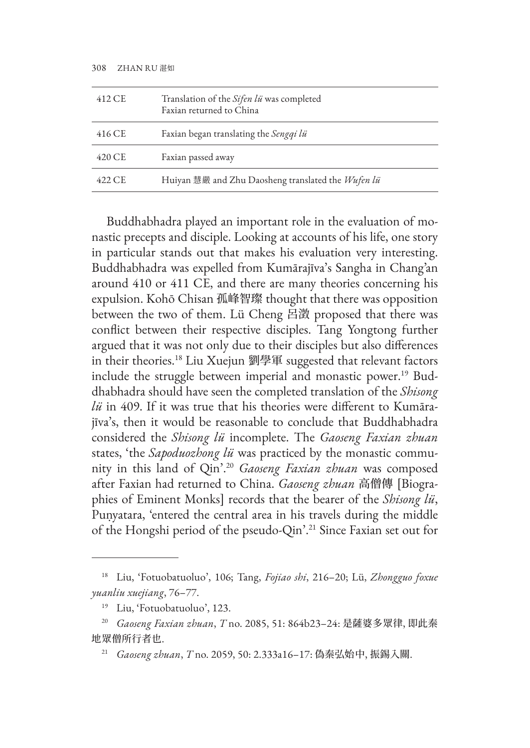| 412 CE | Translation of the Sifen lü was completed<br>Eaxian returned to China |
|--------|-----------------------------------------------------------------------|
| 416 CE | Faxian began translating the Sengqi lü                                |
| 420 CE | Faxian passed away                                                    |
| 422 CE | Huiyan 慧嚴 and Zhu Daosheng translated the Wufen lü                    |

Buddhabhadra played an important role in the evaluation of monastic precepts and disciple. Looking at accounts of his life, one story in particular stands out that makes his evaluation very interesting. Buddhabhadra was expelled from Kumārajīva's Sangha in Chang'an around 410 or 411 CE, and there are many theories concerning his expulsion. Kohō Chisan 孤峰智璨 thought that there was opposition between the two of them. Lü Cheng 呂澂 proposed that there was conflict between their respective disciples. Tang Yongtong further argued that it was not only due to their disciples but also differences in their theories.18 Liu Xuejun 劉學軍 suggested that relevant factors include the struggle between imperial and monastic power.19 Buddhabhadra should have seen the completed translation of the *Shisong lü* in 409. If it was true that his theories were different to Kumārajīva's, then it would be reasonable to conclude that Buddhabhadra considered the *Shisong lü* incomplete. The *Gaoseng Faxian zhuan* states, 'the *Sapoduozhong lü* was practiced by the monastic community in this land of Qin'.20 *Gaoseng Faxian zhuan* was composed after Faxian had returned to China. *Gaoseng zhuan* 高僧傳 [Biographies of Eminent Monks] records that the bearer of the *Shisong lü*, Puṇyatara, 'entered the central area in his travels during the middle of the Hongshi period of the pseudo-Qin'.21 Since Faxian set out for

<sup>18</sup> Liu, 'Fotuobatuoluo', 106; Tang, *Fojiao shi*, 216–20; Lü, *Zhongguo foxue yuanliu xuejiang*, 76–77.

<sup>19</sup> Liu, 'Fotuobatuoluo', 123.

<sup>20</sup> *Gaoseng Faxian zhuan*, *T* no. 2085, 51: 864b23–24: 是薩婆多眾律, 即此秦 地眾僧所行者也.

<sup>21</sup> *Gaoseng zhuan*, *T* no. 2059, 50: 2.333a16–17: 偽秦弘始中, 振錫入關.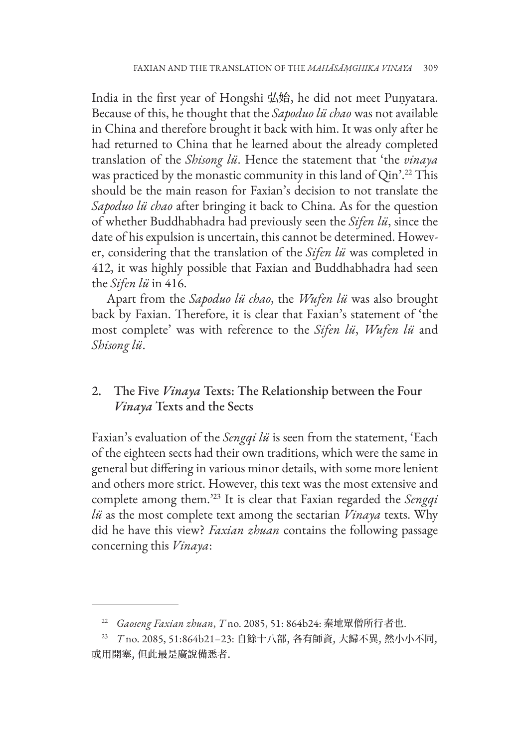India in the first year of Hongshi 弘始, he did not meet Puṇyatara. Because of this, he thought that the *Sapoduo lü chao* was not available in China and therefore brought it back with him. It was only after he had returned to China that he learned about the already completed translation of the *Shisong lü*. Hence the statement that 'the *vinaya* was practiced by the monastic community in this land of Qin'.<sup>22</sup> This should be the main reason for Faxian's decision to not translate the *Sapoduo lü chao* after bringing it back to China. As for the question of whether Buddhabhadra had previously seen the *Sifen lü*, since the date of his expulsion is uncertain, this cannot be determined. However, considering that the translation of the *Sifen lü* was completed in 412, it was highly possible that Faxian and Buddhabhadra had seen the *Sifen lü* in 416.

Apart from the *Sapoduo lü chao*, the *Wufen lü* was also brought back by Faxian. Therefore, it is clear that Faxian's statement of 'the most complete' was with reference to the *Sifen lü*, *Wufen lü* and *Shisong lü*.

# 2. The Five *Vinaya* Texts: The Relationship between the Four *Vinaya* Texts and the Sects

Faxian's evaluation of the *Sengqi lü* is seen from the statement, 'Each of the eighteen sects had their own traditions, which were the same in general but differing in various minor details, with some more lenient and others more strict. However, this text was the most extensive and complete among them.'23 It is clear that Faxian regarded the *Sengqi lü* as the most complete text among the sectarian *Vinaya* texts. Why did he have this view? *Faxian zhuan* contains the following passage concerning this *Vinaya*:

<sup>22</sup> *Gaoseng Faxian zhuan*, *T* no. 2085, 51: 864b24: 秦地眾僧所行者也.

<sup>23</sup> *T* no. 2085, 51:864b21–23: 自餘十八部, 各有師資, 大歸不異, 然小小不同, 或用開塞, 但此最是廣說備悉者.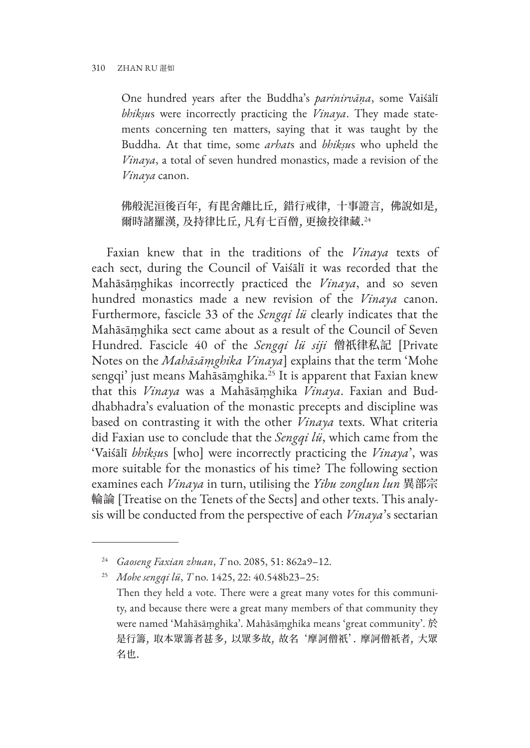One hundred years after the Buddha's *parinirvāṇa*, some Vaiśālī *bhikṣu*s were incorrectly practicing the *Vinaya*. They made statements concerning ten matters, saying that it was taught by the Buddha. At that time, some *arhat*s and *bhikṣu*s who upheld the *Vinaya*, a total of seven hundred monastics, made a revision of the *Vinaya* canon.

佛般泥洹後百年, 有毘舍離比丘, 錯行戒律, 十事證言, 佛說如是, 爾時諸羅漢, 及持律比丘, 凡有七百僧, 更撿挍律藏.<sup>24</sup>

Faxian knew that in the traditions of the *Vinaya* texts of each sect, during the Council of Vaiśālī it was recorded that the Mahāsāṃghikas incorrectly practiced the *Vinaya*, and so seven hundred monastics made a new revision of the *Vinaya* canon. Furthermore, fascicle 33 of the *Sengqi lü* clearly indicates that the Mahāsāṃghika sect came about as a result of the Council of Seven Hundred. Fascicle 40 of the *Sengqi lü siji* 僧祇律私記 [Private Notes on the *Mahāsāṃghika Vinaya*] explains that the term 'Mohe sengqi' just means Mahāsāmghika.<sup>25</sup> It is apparent that Faxian knew that this *Vinaya* was a Mahāsāṃghika *Vinaya*. Faxian and Buddhabhadra's evaluation of the monastic precepts and discipline was based on contrasting it with the other *Vinaya* texts. What criteria did Faxian use to conclude that the *Sengqi lü*, which came from the 'Vaiśālī *bhikṣu*s [who] were incorrectly practicing the *Vinaya*', was more suitable for the monastics of his time? The following section examines each *Vinaya* in turn, utilising the *Yibu zonglun lun* 異部宗 輪論 [Treatise on the Tenets of the Sects] and other texts. This analysis will be conducted from the perspective of each *Vinaya*'s sectarian

<sup>24</sup> *Gaoseng Faxian zhuan*, *T* no. 2085, 51: 862a9–12.

<sup>25</sup> *Mohe sengqi lü*, *T* no. 1425, 22: 40.548b23–25:

Then they held a vote. There were a great many votes for this community, and because there were a great many members of that community they were named 'Mahāsāṃghika'. Mahāsāṃghika means 'great community'. 於 是行籌, 取本眾籌者甚多, 以眾多故, 故名 '摩訶僧祇'. 摩訶僧祇者, 大眾 名也.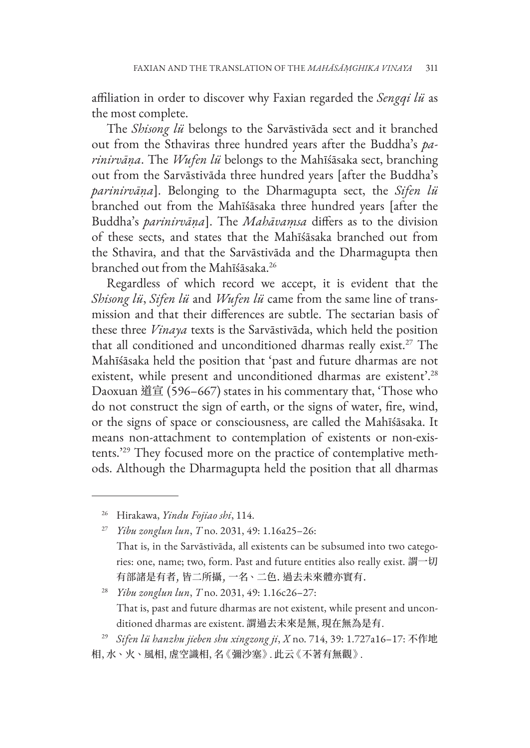affiliation in order to discover why Faxian regarded the *Sengqi lü* as the most complete.

The *Shisong lü* belongs to the Sarvāstivāda sect and it branched out from the Sthaviras three hundred years after the Buddha's *parinirvāṇa*. The *Wufen lü* belongs to the Mahīśāsaka sect, branching out from the Sarvāstivāda three hundred years [after the Buddha's *parinirvāṇa*]. Belonging to the Dharmagupta sect, the *Sifen lü* branched out from the Mahīśāsaka three hundred years [after the Buddha's *parinirvāṇa*]. The *Mahāvaṃsa* differs as to the division of these sects, and states that the Mahīśāsaka branched out from the Sthavira, and that the Sarvāstivāda and the Dharmagupta then branched out from the Mahīśāsaka.26

Regardless of which record we accept, it is evident that the *Shisong lü*, *Sifen lü* and *Wufen lü* came from the same line of transmission and that their differences are subtle. The sectarian basis of these three *Vinaya* texts is the Sarvāstivāda, which held the position that all conditioned and unconditioned dharmas really exist.27 The Mahīśāsaka held the position that 'past and future dharmas are not existent, while present and unconditioned dharmas are existent'.<sup>28</sup> Daoxuan 道宣 (596–667) states in his commentary that, 'Those who do not construct the sign of earth, or the signs of water, fire, wind, or the signs of space or consciousness, are called the Mahīśāsaka. It means non-attachment to contemplation of existents or non-existents.'29 They focused more on the practice of contemplative methods. Although the Dharmagupta held the position that all dharmas

<sup>29</sup> *Sifen lü hanzhu jieben shu xingzong ji*, *X* no. 714, 39: 1.727a16–17: 不作地 相, 水、火、風相, 虗空識相, 名《彌沙塞》. 此云《不著有無觀》.

<sup>26</sup> Hirakawa, *Yindu Fojiao shi*, 114.

<sup>27</sup> *Yibu zonglun lun*, *T* no. 2031, 49: 1.16a25–26: That is, in the Sarvāstivāda, all existents can be subsumed into two categories: one, name; two, form. Past and future entities also really exist. 謂一切 有部諸是有者, 皆二所攝, 一名、二色. 過去未來體亦實有.

<sup>28</sup> *Yibu zonglun lun*, *T* no. 2031, 49: 1.16c26–27: That is, past and future dharmas are not existent, while present and unconditioned dharmas are existent. 謂過去未來是無, 現在無為是有.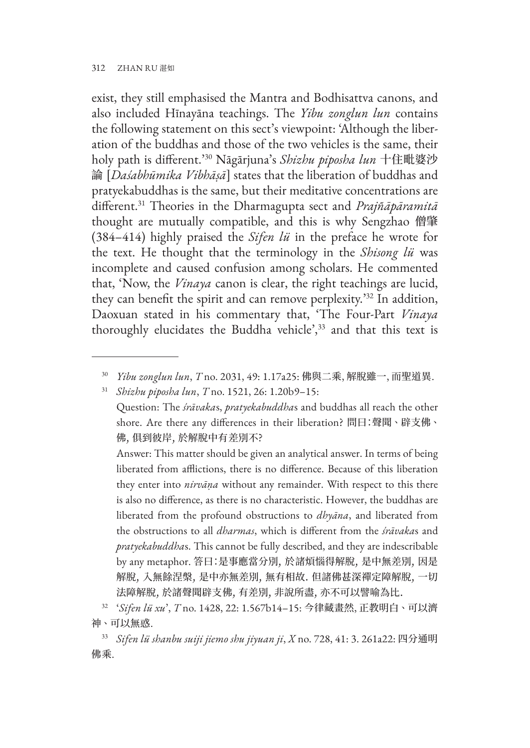exist, they still emphasised the Mantra and Bodhisattva canons, and also included Hīnayāna teachings. The *Yibu zonglun lun* contains the following statement on this sect's viewpoint: 'Although the liberation of the buddhas and those of the two vehicles is the same, their holy path is different.'30 Nāgārjuna's *Shizhu piposha lun* 十住毗婆沙 論 [*Daśabhūmika Vibhāṣā*] states that the liberation of buddhas and pratyekabuddhas is the same, but their meditative concentrations are different.31 Theories in the Dharmagupta sect and *Prajñāpāramitā* thought are mutually compatible, and this is why Sengzhao 僧肇 (384–414) highly praised the *Sifen lü* in the preface he wrote for the text. He thought that the terminology in the *Shisong lü* was incomplete and caused confusion among scholars. He commented that, 'Now, the *Vinaya* canon is clear, the right teachings are lucid, they can benefit the spirit and can remove perplexity.'32 In addition, Daoxuan stated in his commentary that, 'The Four-Part *Vinaya* thoroughly elucidates the Buddha vehicle',<sup>33</sup> and that this text is

Question: The *śrāvaka*s, *pratyekabuddha*s and buddhas all reach the other shore. Are there any differences in their liberation? 問曰:聲聞、辟支佛、 佛, 俱到彼岸, 於解脫中有差別不?

Answer: This matter should be given an analytical answer. In terms of being liberated from afflictions, there is no difference. Because of this liberation they enter into *nirvāṇa* without any remainder. With respect to this there is also no difference, as there is no characteristic. However, the buddhas are liberated from the profound obstructions to *dhyāna*, and liberated from the obstructions to all *dharmas*, which is different from the *śrāvaka*s and *pratyekabuddha*s. This cannot be fully described, and they are indescribable by any metaphor. 答曰:是事應當分別, 於諸煩惱得解脫, 是中無差別, 因是 解脫, 入無餘涅槃, 是中亦無差別, 無有相故. 但諸佛甚深禪定障解脫, 一切 法障解脫, 於諸聲聞辟支佛, 有差別, 非說所盡, 亦不可以譬喻為比.

<sup>33</sup> *Sifen lü shanbu suiji jiemo shu jiyuan ji*, *X* no. 728, 41: 3. 261a22: 四分通明 佛乘.

<sup>30</sup> *Yibu zonglun lun*, *T* no. 2031, 49: 1.17a25: 佛與二乘, 解脫雖一, 而聖道異.

<sup>31</sup> *Shizhu piposha lun*, *T* no. 1521, 26: 1.20b9–15:

<sup>32</sup> '*Sifen lü xu*', *T* no. 1428, 22: 1.567b14–15: 今律藏畫然, 正教明白、可以濟 神、可以無惑.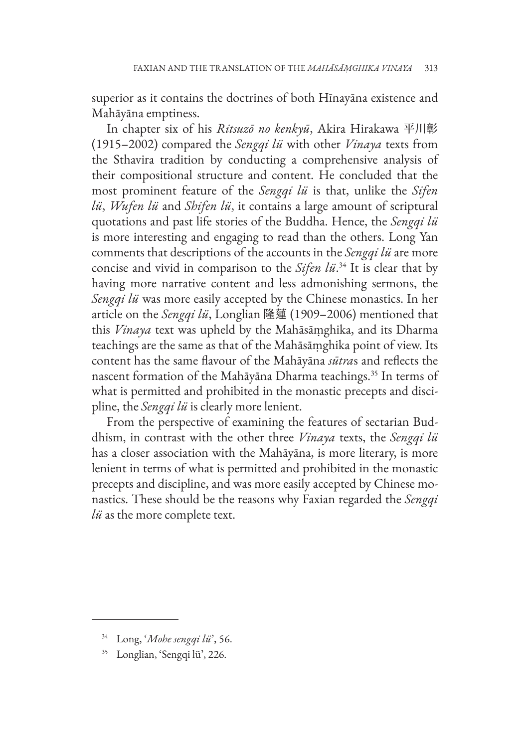superior as it contains the doctrines of both Hīnayāna existence and Mahāyāna emptiness.

In chapter six of his *Ritsuzō no kenkyū*, Akira Hirakawa 平川彰 (1915–2002) compared the *Sengqi lü* with other *Vinaya* texts from the Sthavira tradition by conducting a comprehensive analysis of their compositional structure and content. He concluded that the most prominent feature of the *Sengqi lü* is that, unlike the *Sifen lü*, *Wufen lü* and *Shifen lü*, it contains a large amount of scriptural quotations and past life stories of the Buddha. Hence, the *Sengqi lü*  is more interesting and engaging to read than the others. Long Yan comments that descriptions of the accounts in the *Sengqi lü* are more concise and vivid in comparison to the *Sifen lü*. 34 It is clear that by having more narrative content and less admonishing sermons, the *Sengqi lü* was more easily accepted by the Chinese monastics. In her article on the *Sengqi lü*, Longlian 隆蓮 (1909–2006) mentioned that this *Vinaya* text was upheld by the Mahāsāṃghika, and its Dharma teachings are the same as that of the Mahāsāṃghika point of view. Its content has the same flavour of the Mahāyāna *sūtra*s and reflects the nascent formation of the Mahāyāna Dharma teachings.<sup>35</sup> In terms of what is permitted and prohibited in the monastic precepts and discipline, the *Sengqi lü* is clearly more lenient.

From the perspective of examining the features of sectarian Buddhism, in contrast with the other three *Vinaya* texts, the *Sengqi lü* has a closer association with the Mahāyāna, is more literary, is more lenient in terms of what is permitted and prohibited in the monastic precepts and discipline, and was more easily accepted by Chinese monastics. These should be the reasons why Faxian regarded the *Sengqi lü* as the more complete text.

<sup>34</sup> Long, '*Mohe sengqi lü*', 56.

<sup>35</sup> Longlian, 'Sengqi lü', 226.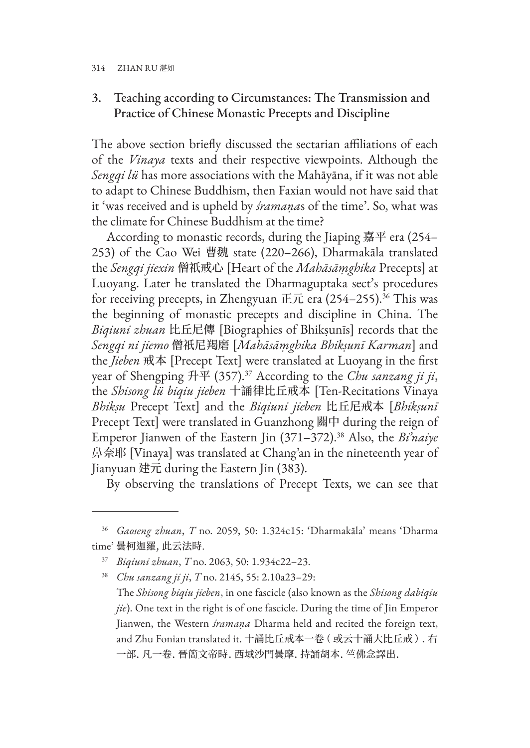## 3. Teaching according to Circumstances: The Transmission and Practice of Chinese Monastic Precepts and Discipline

The above section briefly discussed the sectarian affiliations of each of the *Vinaya* texts and their respective viewpoints. Although the *Sengqi lü* has more associations with the Mahāyāna, if it was not able to adapt to Chinese Buddhism, then Faxian would not have said that it 'was received and is upheld by *śramaṇa*s of the time'. So, what was the climate for Chinese Buddhism at the time?

According to monastic records, during the Jiaping 嘉平 era (254– 253) of the Cao Wei 曹魏 state (220–266), Dharmakāla translated the *Sengqi jiexin* 僧祇戒心 [Heart of the *Mahāsāṃghika* Precepts] at Luoyang. Later he translated the Dharmaguptaka sect's procedures for receiving precepts, in Zhengyuan 正元 era (254–255).<sup>36</sup> This was the beginning of monastic precepts and discipline in China. The *Biqiuni zhuan* 比丘尼傳 [Biographies of Bhikṣunīs] records that the *Sengqi ni jiemo* 僧祇尼羯磨 [*Mahāsāṃghika Bhikṣunī Karman*] and the *Jieben* 戒本 [Precept Text] were translated at Luoyang in the first year of Shengping 升平 (357).37 According to the *Chu sanzang ji ji*, the *Shisong lü biqiu jieben* 十誦律比丘戒本 [Ten-Recitations Vinaya *Bhikṣu* Precept Text] and the *Biqiuni jieben* 比丘尼戒本 [*Bhikṣunī* Precept Text] were translated in Guanzhong 關中 during the reign of Emperor Jianwen of the Eastern Jin (371–372).38 Also, the *Bi'naiye*  鼻奈耶 [Vinaya] was translated at Chang'an in the nineteenth year of Jianyuan 建元 during the Eastern Jin (383).

By observing the translations of Precept Texts, we can see that

<sup>36</sup> *Gaoseng zhuan*, *T* no. 2059, 50: 1.324c15: 'Dharmakāla' means 'Dharma time' 曇柯迦羅, 此云法時.

<sup>37</sup> *Biqiuni zhuan*, *T* no. 2063, 50: 1.934c22–23.

<sup>38</sup> *Chu sanzang ji ji*, *T* no. 2145, 55: 2.10a23–29:

The *Shisong biqiu jieben*, in one fascicle (also known as the *Shisong dabiqiu jie*). One text in the right is of one fascicle. During the time of Jin Emperor Jianwen, the Western *śramaṇa* Dharma held and recited the foreign text, and Zhu Fonian translated it. 十誦比丘戒本一卷( 或云十誦大比丘戒 ). 右 一部. 凡一卷. 晉簡文帝時. 西域沙門曇摩. 持誦胡本. 竺佛念譯出.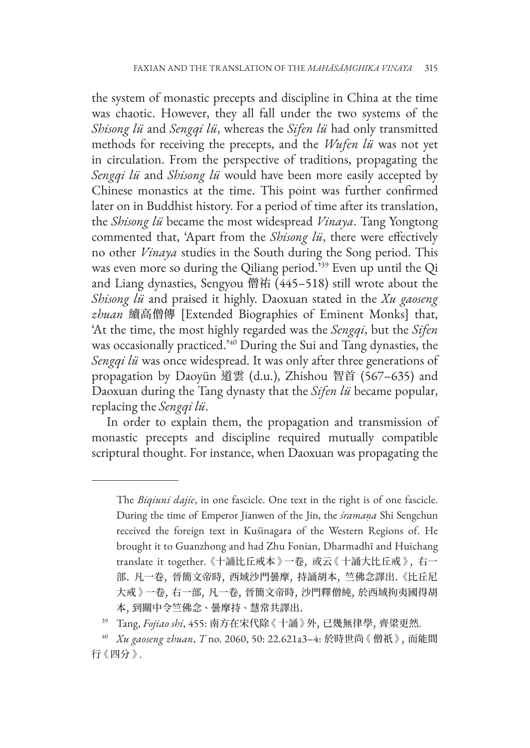the system of monastic precepts and discipline in China at the time was chaotic. However, they all fall under the two systems of the *Shisong lü* and *Sengqi lü*, whereas the *Sifen lü* had only transmitted methods for receiving the precepts, and the *Wufen lü* was not yet in circulation. From the perspective of traditions, propagating the *Sengqi lü* and *Shisong lü* would have been more easily accepted by Chinese monastics at the time. This point was further confirmed later on in Buddhist history. For a period of time after its translation, the *Shisong lü* became the most widespread *Vinaya*. Tang Yongtong commented that, 'Apart from the *Shisong lü*, there were effectively no other *Vinaya* studies in the South during the Song period. This was even more so during the Qiliang period.'39 Even up until the Qi and Liang dynasties, Sengyou 僧祐 (445–518) still wrote about the *Shisong lü* and praised it highly. Daoxuan stated in the *Xu gaoseng zhuan* 續高僧傳 [Extended Biographies of Eminent Monks] that, 'At the time, the most highly regarded was the *Sengqi*, but the *Sifen* was occasionally practiced.'40 During the Sui and Tang dynasties, the *Sengqi lü* was once widespread. It was only after three generations of propagation by Daoyün 道雲 (d.u.), Zhishou 智首 (567–635) and Daoxuan during the Tang dynasty that the *Sifen lü* became popular, replacing the *Sengqi lü*.

In order to explain them, the propagation and transmission of monastic precepts and discipline required mutually compatible scriptural thought. For instance, when Daoxuan was propagating the

The *Biqiuni dajie*, in one fascicle. One text in the right is of one fascicle. During the time of Emperor Jianwen of the Jin, the *śramaṇa* Shi Sengchun received the foreign text in Kuśinagara of the Western Regions of. He brought it to Guanzhong and had Zhu Fonian, Dharmadhī and Huichang translate it together. 《十誦比丘戒本 》一卷, 或云《 十誦大比丘戒 》, 右一 部. 凡一卷, 晉簡文帝時, 西域沙門曇摩, 持誦胡本, 竺佛念譯出. 《比丘尼 大戒 》一卷, 右一部, 凡一卷, 晉簡文帝時, 沙門釋僧純, 於西域拘夷國得胡 本, 到關中令竺佛念、曇摩持、慧常共譯出.

<sup>39</sup> Tang, *Fojiao shi*, 455: 南方在宋代除《 十誦 》外, 已幾無律學, 齊梁更然.

<sup>40</sup> *Xu gaoseng zhuan*, *T* no. 2060, 50: 22.621a3–4: 於時世尚《 僧祇 》, 而能間 行《 四分 》.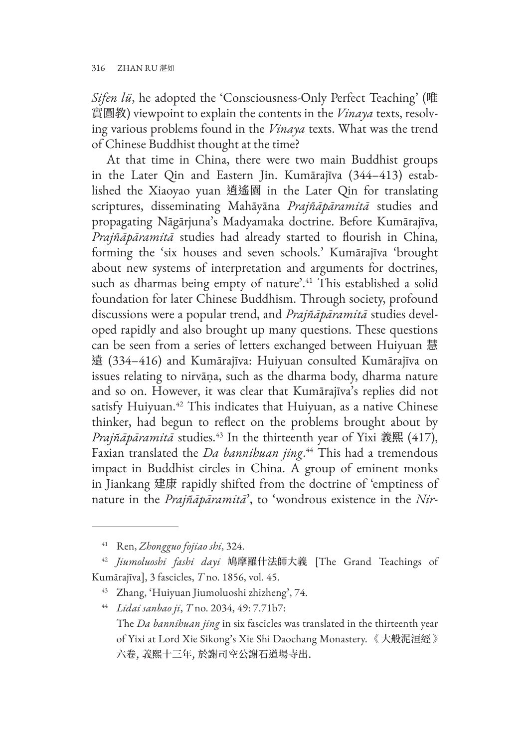*Sifen lü*, he adopted the 'Consciousness-Only Perfect Teaching' (唯 實圓教) viewpoint to explain the contents in the *Vinaya* texts, resolving various problems found in the *Vinaya* texts. What was the trend of Chinese Buddhist thought at the time?

At that time in China, there were two main Buddhist groups in the Later Qin and Eastern Jin. Kumārajīva (344–413) established the Xiaoyao yuan 逍遙園 in the Later Qin for translating scriptures, disseminating Mahāyāna *Prajñāpāramitā* studies and propagating Nāgārjuna's Madyamaka doctrine. Before Kumārajīva, *Prajñāpāramitā* studies had already started to flourish in China, forming the 'six houses and seven schools.' Kumārajīva 'brought about new systems of interpretation and arguments for doctrines, such as dharmas being empty of nature'.<sup>41</sup> This established a solid foundation for later Chinese Buddhism. Through society, profound discussions were a popular trend, and *Prajñāpāramitā* studies developed rapidly and also brought up many questions. These questions can be seen from a series of letters exchanged between Huiyuan 慧 遠 (334–416) and Kumārajīva: Huiyuan consulted Kumārajīva on issues relating to nirvāṇa, such as the dharma body, dharma nature and so on. However, it was clear that Kumārajīva's replies did not satisfy Huiyuan.<sup>42</sup> This indicates that Huiyuan, as a native Chinese thinker, had begun to reflect on the problems brought about by *Prajñāpāramitā* studies.43 In the thirteenth year of Yixi 義熙 (417), Faxian translated the *Da bannihuan jing*. 44 This had a tremendous impact in Buddhist circles in China. A group of eminent monks in Jiankang 建康 rapidly shifted from the doctrine of 'emptiness of nature in the *Prajñāpāramitā*', to 'wondrous existence in the *Nir-*

<sup>41</sup> Ren, *Zhongguo fojiao shi*, 324.

<sup>42</sup> *Jiumoluoshi fashi dayi* 鳩摩羅什法師大義 [The Grand Teachings of Kumārajīva], 3 fascicles, *T* no. 1856, vol. 45.

<sup>43</sup> Zhang, 'Huiyuan Jiumoluoshi zhizheng', 74.

<sup>44</sup> *Lidai sanbao ji*, *T* no. 2034, 49: 7.71b7:

The *Da bannihuan jing* in six fascicles was translated in the thirteenth year of Yixi at Lord Xie Sikong's Xie Shi Daochang Monastery. 《 大般泥洹經 》 六卷, 義熙十三年, 於謝司空公謝石道場寺出.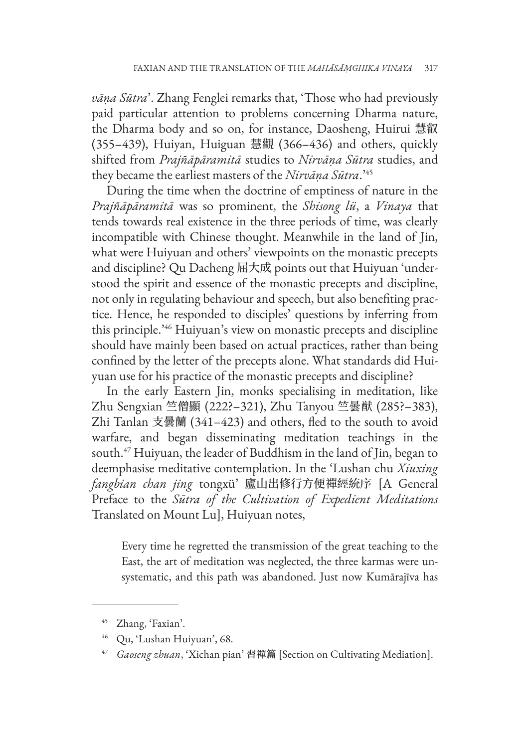*vāṇa Sūtra*'. Zhang Fenglei remarks that, 'Those who had previously paid particular attention to problems concerning Dharma nature, the Dharma body and so on, for instance, Daosheng, Huirui 慧叡 (355–439), Huiyan, Huiguan 慧觀 (366–436) and others, quickly shifted from *Prajñāpāramitā* studies to *Nirvāṇa Sūtra* studies, and they became the earliest masters of the *Nirvāṇa Sūtra*.'45

During the time when the doctrine of emptiness of nature in the *Prajñāpāramitā* was so prominent, the *Shisong lü*, a *Vinaya* that tends towards real existence in the three periods of time, was clearly incompatible with Chinese thought. Meanwhile in the land of Jin, what were Huiyuan and others' viewpoints on the monastic precepts and discipline? Qu Dacheng 屈大成 points out that Huiyuan 'understood the spirit and essence of the monastic precepts and discipline, not only in regulating behaviour and speech, but also benefiting practice. Hence, he responded to disciples' questions by inferring from this principle.'46 Huiyuan's view on monastic precepts and discipline should have mainly been based on actual practices, rather than being confined by the letter of the precepts alone. What standards did Huiyuan use for his practice of the monastic precepts and discipline?

In the early Eastern Jin, monks specialising in meditation, like Zhu Sengxian 竺僧顯 (222?–321), Zhu Tanyou 竺曇猷 (285?–383), Zhi Tanlan 支曇蘭 (341–423) and others, fled to the south to avoid warfare, and began disseminating meditation teachings in the south.<sup>47</sup> Huiyuan, the leader of Buddhism in the land of Jin, began to deemphasise meditative contemplation. In the 'Lushan chu *Xiuxing fangbian chan jing* tongxü' 廬山出修行方便禪經統序 [A General Preface to the *Sūtra of the Cultivation of Expedient Meditations* Translated on Mount Lu], Huiyuan notes,

Every time he regretted the transmission of the great teaching to the East, the art of meditation was neglected, the three karmas were unsystematic, and this path was abandoned. Just now Kumārajīva has

<sup>45</sup> Zhang, 'Faxian'.

<sup>46</sup> Qu, 'Lushan Huiyuan', 68.

<sup>47</sup> *Gaoseng zhuan*, 'Xichan pian' 習禪篇 [Section on Cultivating Mediation].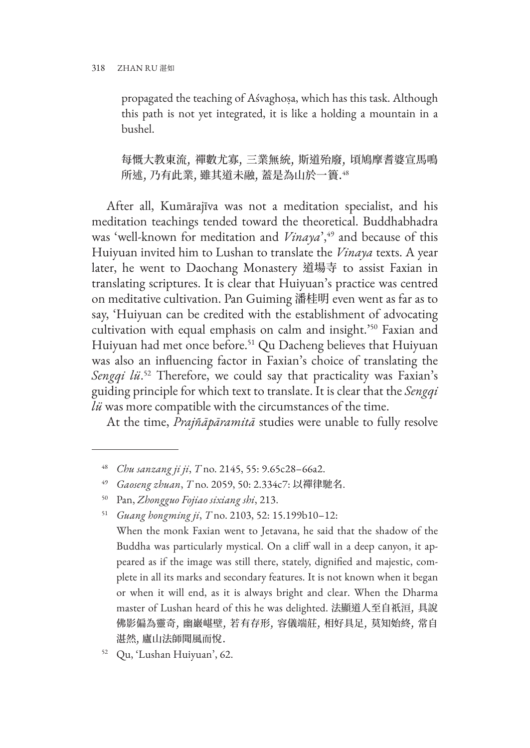propagated the teaching of Aśvaghoṣa, which has this task. Although this path is not yet integrated, it is like a holding a mountain in a bushel.

每慨大教東流, 禪數尤寡, 三業無統, 斯道殆廢, 頃鳩摩耆婆宣馬鳴 所述, 乃有此業, 雖其道未融, 蓋是為山於一簣.<sup>48</sup>

After all, Kumārajīva was not a meditation specialist, and his meditation teachings tended toward the theoretical. Buddhabhadra was 'well-known for meditation and *Vinaya*',<sup>49</sup> and because of this Huiyuan invited him to Lushan to translate the *Vinaya* texts. A year later, he went to Daochang Monastery 道場寺 to assist Faxian in translating scriptures. It is clear that Huiyuan's practice was centred on meditative cultivation. Pan Guiming 潘桂明 even went as far as to say, 'Huiyuan can be credited with the establishment of advocating cultivation with equal emphasis on calm and insight.'50 Faxian and Huiyuan had met once before.<sup>51</sup> Qu Dacheng believes that Huiyuan was also an influencing factor in Faxian's choice of translating the *Sengqi lü*. 52 Therefore, we could say that practicality was Faxian's guiding principle for which text to translate. It is clear that the *Sengqi lü* was more compatible with the circumstances of the time.

At the time, *Prajñāpāramitā* studies were unable to fully resolve

<sup>48</sup> *Chu sanzang ji ji*, *T* no. 2145, 55: 9.65c28–66a2.

<sup>49</sup> *Gaoseng zhuan*, *T* no. 2059, 50: 2.334c7: 以禪律馳名.

<sup>50</sup> Pan, *Zhongguo Fojiao sixiang shi*, 213.

<sup>51</sup> *Guang hongming ji*, *T* no. 2103, 52: 15.199b10–12:

When the monk Faxian went to Jetavana, he said that the shadow of the Buddha was particularly mystical. On a cliff wall in a deep canyon, it appeared as if the image was still there, stately, dignified and majestic, complete in all its marks and secondary features. It is not known when it began or when it will end, as it is always bright and clear. When the Dharma master of Lushan heard of this he was delighted. 法顯道人至自祇洹, 具說 佛影偏為靈奇, 幽巖嵁壁, 若有存形, 容儀端莊, 相好具足, 莫知始終, 常自 湛然, 廬山法師聞風而悅.

<sup>52</sup> Qu, 'Lushan Huiyuan', 62.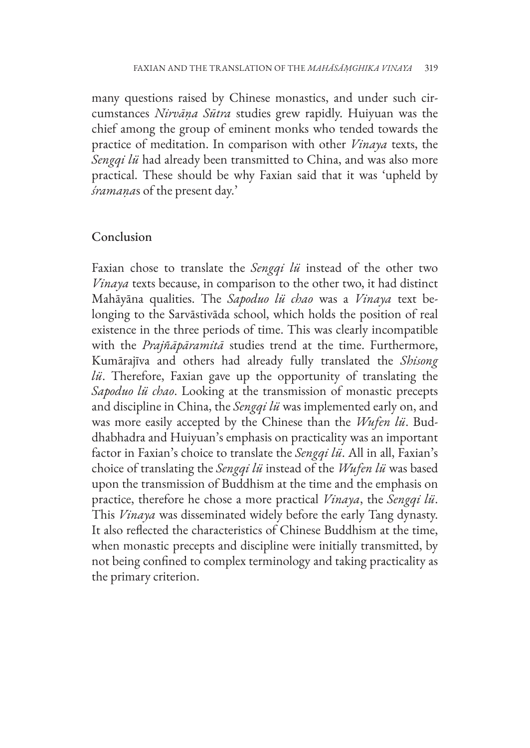many questions raised by Chinese monastics, and under such circumstances *Nirvāṇa Sūtra* studies grew rapidly. Huiyuan was the chief among the group of eminent monks who tended towards the practice of meditation. In comparison with other *Vinaya* texts, the *Sengqi lü* had already been transmitted to China, and was also more practical. These should be why Faxian said that it was 'upheld by *śramaṇa*s of the present day.'

### Conclusion

Faxian chose to translate the *Sengqi lü* instead of the other two *Vinaya* texts because, in comparison to the other two, it had distinct Mahāyāna qualities. The *Sapoduo lü chao* was a *Vinaya* text belonging to the Sarvāstivāda school, which holds the position of real existence in the three periods of time. This was clearly incompatible with the *Prajñāpāramitā* studies trend at the time. Furthermore, Kumārajīva and others had already fully translated the *Shisong lü*. Therefore, Faxian gave up the opportunity of translating the *Sapoduo lü chao*. Looking at the transmission of monastic precepts and discipline in China, the *Sengqi lü* was implemented early on, and was more easily accepted by the Chinese than the *Wufen lü*. Buddhabhadra and Huiyuan's emphasis on practicality was an important factor in Faxian's choice to translate the *Sengqi lü*. All in all, Faxian's choice of translating the *Sengqi lü* instead of the *Wufen lü* was based upon the transmission of Buddhism at the time and the emphasis on practice, therefore he chose a more practical *Vinaya*, the *Sengqi lü*. This *Vinaya* was disseminated widely before the early Tang dynasty. It also reflected the characteristics of Chinese Buddhism at the time, when monastic precepts and discipline were initially transmitted, by not being confined to complex terminology and taking practicality as the primary criterion.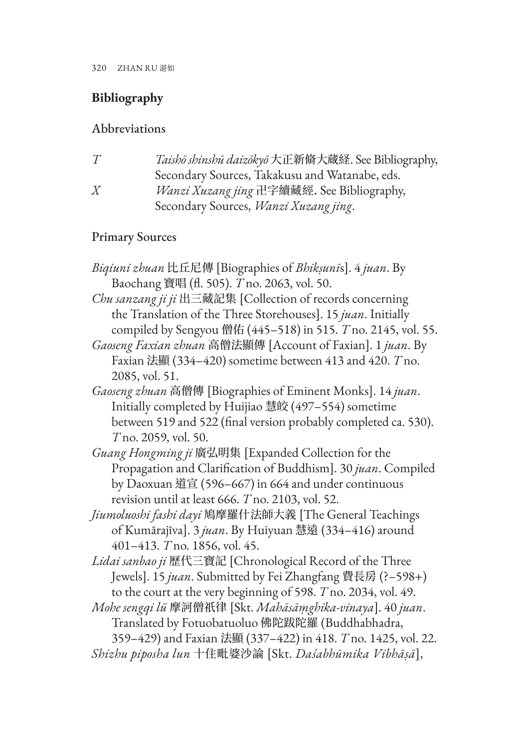# **Bibliography**

## Abbreviations

| T | Taishō shinshū daizōkyō 大正新脩大蔵経. See Bibliography, |
|---|----------------------------------------------------|
|   | Secondary Sources, Takakusu and Watanabe, eds.     |
| Χ | Wanzi Xuzang jing 卍字續藏經. See Bibliography,         |
|   | Secondary Sources, Wanzi Xuzang jing.              |

## Primary Sources

| <i>Biqiuni zhuan</i> 比丘尼傳 [Biographies of <i>Bhikṣunīs</i> ]. 4 <i>juan</i> . By                                                                                                                                                                                                                                                                                                                                                                                                                                                                                                        |
|-----------------------------------------------------------------------------------------------------------------------------------------------------------------------------------------------------------------------------------------------------------------------------------------------------------------------------------------------------------------------------------------------------------------------------------------------------------------------------------------------------------------------------------------------------------------------------------------|
| Baochang 寶唱 (fl. 505). T no. 2063, vol. 50.                                                                                                                                                                                                                                                                                                                                                                                                                                                                                                                                             |
| Chu sanzang ji ji 出三藏記集 [Collection of records concerning                                                                                                                                                                                                                                                                                                                                                                                                                                                                                                                               |
| the Translation of the Three Storehouses]. 15 juan. Initially                                                                                                                                                                                                                                                                                                                                                                                                                                                                                                                           |
| compiled by Sengyou 僧佑 (445-518) in 515. T no. 2145, vol. 55.                                                                                                                                                                                                                                                                                                                                                                                                                                                                                                                           |
| Gaoseng Faxian zhuan 高僧法顯傳 [Account of Faxian]. 1 juan. By                                                                                                                                                                                                                                                                                                                                                                                                                                                                                                                              |
| Faxian 法顯 (334-420) sometime between 413 and 420. T no.                                                                                                                                                                                                                                                                                                                                                                                                                                                                                                                                 |
| 2085, vol. 51.                                                                                                                                                                                                                                                                                                                                                                                                                                                                                                                                                                          |
| Gaoseng zhuan 高僧傳 [Biographies of Eminent Monks]. 14 juan.                                                                                                                                                                                                                                                                                                                                                                                                                                                                                                                              |
| Initially completed by Huijiao 慧皎 (497-554) sometime                                                                                                                                                                                                                                                                                                                                                                                                                                                                                                                                    |
| between 519 and 522 (final version probably completed ca. 530).                                                                                                                                                                                                                                                                                                                                                                                                                                                                                                                         |
| T no. 2059, vol. 50.                                                                                                                                                                                                                                                                                                                                                                                                                                                                                                                                                                    |
| Guang Hongming ji 廣弘明集 [Expanded Collection for the                                                                                                                                                                                                                                                                                                                                                                                                                                                                                                                                     |
| Propagation and Clarification of Buddhism]. 30 juan. Compiled                                                                                                                                                                                                                                                                                                                                                                                                                                                                                                                           |
| by Daoxuan 道宣 (596–667) in 664 and under continuous                                                                                                                                                                                                                                                                                                                                                                                                                                                                                                                                     |
| revision until at least 666. T no. 2103, vol. 52.                                                                                                                                                                                                                                                                                                                                                                                                                                                                                                                                       |
| Jiumoluoshi fashi dayi 鳩摩羅什法師大義 [The General Teachings                                                                                                                                                                                                                                                                                                                                                                                                                                                                                                                                  |
| of Kumārajīva]. 3 juan. By Huiyuan 慧遠 (334–416) around                                                                                                                                                                                                                                                                                                                                                                                                                                                                                                                                  |
| 401–413. T no. 1856, vol. 45.                                                                                                                                                                                                                                                                                                                                                                                                                                                                                                                                                           |
| $1 \cdot 1$ $0 \cdot 1$ $1 \cdot 1$ $1 \cdot 1$<br>$\overline{1}$ $\overrightarrow{1}$ $\overrightarrow{1}$ $\overrightarrow{1}$ $\overrightarrow{2}$ $\overrightarrow{3}$ $\overrightarrow{3}$ $\overrightarrow{5}$ $\overrightarrow{1}$ $\overrightarrow{1}$ $\overrightarrow{1}$ $\overrightarrow{2}$ $\overrightarrow{1}$ $\overrightarrow{3}$ $\overrightarrow{1}$ $\overrightarrow{2}$ $\overrightarrow{1}$ $\overrightarrow{2}$ $\overrightarrow{3}$ $\overrightarrow{5}$ $\overrightarrow{1}$ $\overrightarrow{2}$ $\overrightarrow{1}$ $\overrightarrow{2}$ $\overrightarrow{$ |

*Lidai sanbao ji* 歷代三寶記 [Chronological Record of the Three Jewels]. 15 *juan*. Submitted by Fei Zhangfang 費長房 (?–598+) to the court at the very beginning of 598. *T* no. 2034, vol. 49.

*Mohe sengqi lü* 摩訶僧祇律 [Skt. *Mahāsāṃghika-vinaya*]. 40 *juan*. Translated by Fotuobatuoluo 佛陀跋陀羅 (Buddhabhadra,

359–429) and Faxian 法顯 (337–422) in 418. *T* no. 1425, vol. 22. *Shizhu piposha lun* 十住毗婆沙論 [Skt. *Daśabhūmika Vibhāṣā*],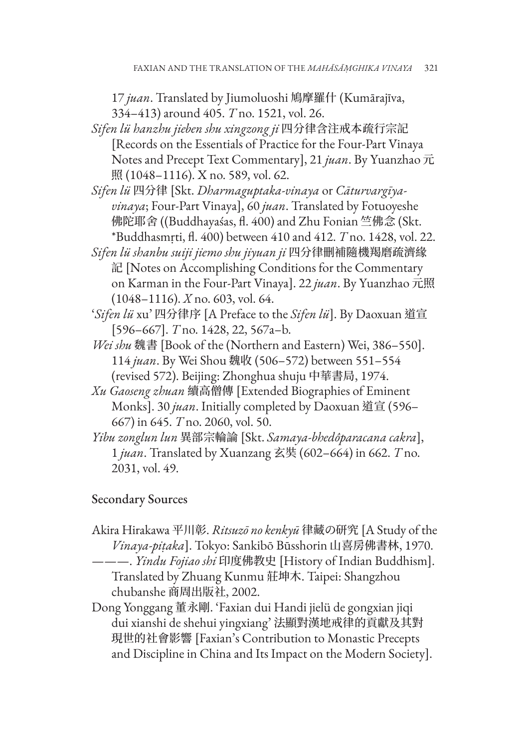17 *juan*. Translated by Jiumoluoshi 鳩摩羅什 (Kumārajīva, 334–413) around 405. *T* no. 1521, vol. 26.

- *Sifen lü hanzhu jieben shu xingzong ji* 四分律含注戒本疏行宗記 [Records on the Essentials of Practice for the Four-Part Vinaya Notes and Precept Text Commentary], 21 *juan*. By Yuanzhao 元 照 (1048–1116). X no. 589, vol. 62.
- *Sifen lü* 四分律 [Skt. *Dharmaguptaka-vinaya* or *Cāturvargīyavinaya*; Four-Part Vinaya], 60 *juan*. Translated by Fotuoyeshe 佛陀耶舍 ((Buddhayaśas, fl. 400) and Zhu Fonian 竺佛念 (Skt. \*Buddhasmṛti, fl. 400) between 410 and 412. *T* no. 1428, vol. 22.
- *Sifen lü shanbu suiji jiemo shu jiyuan ji* 四分律刪補隨機羯磨疏濟緣 記 [Notes on Accomplishing Conditions for the Commentary on Karman in the Four-Part Vinaya]. 22 *juan*. By Yuanzhao 元照 (1048–1116). *X* no. 603, vol. 64.
- '*Sifen lü* xu' 四分律序 [A Preface to the *Sifen lü*]. By Daoxuan 道宣 [596–667]. *T* no. 1428, 22, 567a–b.
- *Wei shu* 魏書 [Book of the (Northern and Eastern) Wei, 386–550]. 114 *juan*. By Wei Shou 魏收 (506–572) between 551–554 (revised 572). Beijing: Zhonghua shuju 中華書局, 1974.
- *Xu Gaoseng zhuan* 續高僧傳 [Extended Biographies of Eminent Monks]. 30 *juan*. Initially completed by Daoxuan 道宣 (596– 667) in 645. *T* no. 2060, vol. 50.
- *Yibu zonglun lun* 異部宗輪論 [Skt. *Samaya-bhedôparacana cakra*], 1 *juan*. Translated by Xuanzang 玄奘 (602–664) in 662. *T* no. 2031, vol. 49.

## Secondary Sources

Akira Hirakawa 平川彰. *Ritsuzō no kenkyū* 律藏の研究 [A Study of the *Vinaya-piṭaka*]. Tokyo: Sankibō Būsshorin 山喜房佛書林, 1970.

———. *Yindu Fojiao shi* 印度佛教史 [History of Indian Buddhism]. Translated by Zhuang Kunmu 莊坤木. Taipei: Shangzhou chubanshe 商周出版社, 2002.

Dong Yonggang 董永剛. 'Faxian dui Handi jielü de gongxian jiqi dui xianshi de shehui yingxiang' 法顯對漢地戒律的貢獻及其對 現世的社會影響 [Faxian's Contribution to Monastic Precepts and Discipline in China and Its Impact on the Modern Society].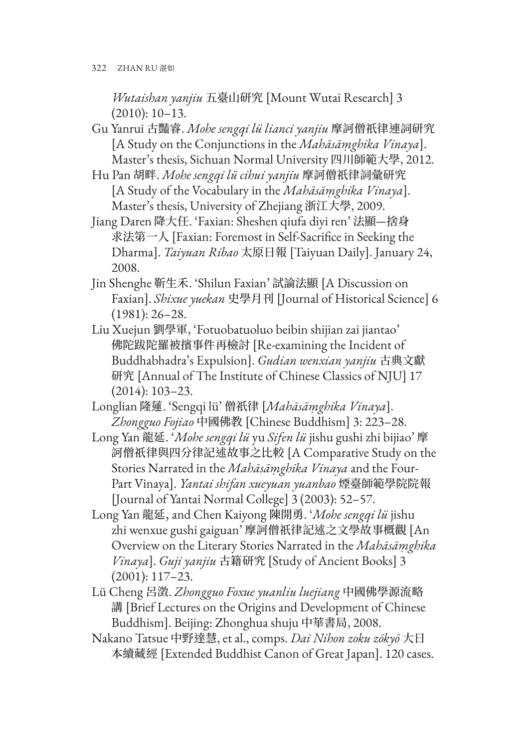*Wutaishan yanjiu* 五臺山研究 [Mount Wutai Research] 3 (2010): 10–13.

- Gu Yanrui 古豔睿. *Mohe sengqi lü lianci yanjiu* 摩訶僧祇律連詞研究 [A Study on the Conjunctions in the *Mahāsāṃghika Vinaya*]. Master's thesis, Sichuan Normal University 四川師範大學, 2012.
- Hu Pan 胡畔. *Mohe sengqi lü cihui yanjiu* 摩訶僧祇律詞彙研究 [A Study of the Vocabulary in the *Mahāsāṃghika Vinaya*]. Master's thesis, University of Zhejiang 浙江大學, 2009.
- Jiang Daren 降大任. 'Faxian: Sheshen qiufa diyi ren' 法顯—捨身 求法第一人 [Faxian: Foremost in Self-Sacrifice in Seeking the Dharma]. *Taiyuan Ribao* 太原日報 [Taiyuan Daily]. January 24, 2008.
- Jin Shenghe 靳生禾. 'Shilun Faxian' 試論法顯 [A Discussion on Faxian]. *Shixue yuekan* 史學月刊 [Journal of Historical Science] 6 (1981): 26–28.
- Liu Xuejun 劉學軍, 'Fotuobatuoluo beibin shijian zai jiantao' 佛陀跋陀羅被擯事件再檢討 [Re-examining the Incident of Buddhabhadra's Expulsion]. *Gudian wenxian yanjiu* 古典文獻 研究 [Annual of The Institute of Chinese Classics of NJU] 17 (2014): 103–23.
- Longlian 隆蓮. 'Sengqi lü' 僧祇律 [*Mahāsāṃghika Vinaya*]. *Zhongguo Fojiao* 中國佛教 [Chinese Buddhism] 3: 223–28.
- Long Yan 龍延. '*Mohe sengqi lü* yu *Sifen lü* jishu gushi zhi bijiao' 摩 訶僧祇律與四分律記述故事之比較 [A Comparative Study on the Stories Narrated in the *Mahāsāṃghika Vinaya* and the Four-Part Vinaya]. *Yantai shifan xueyuan yuanbao* 煙臺師範學院院報 [Journal of Yantai Normal College] 3 (2003): 52–57.
- Long Yan 龍延, and Chen Kaiyong 陳開勇. '*Mohe sengqi lü* jishu zhi wenxue gushi gaiguan' 摩訶僧祇律記述之文學故事概觀 [An Overview on the Literary Stories Narrated in the *Mahāsāṃghika Vinaya*]. *Guji yanjiu* 古籍研究 [Study of Ancient Books] 3 (2001): 117–23.
- Lü Cheng 呂澂. *Zhongguo Foxue yuanliu luejiang* 中國佛學源流略 講 [Brief Lectures on the Origins and Development of Chinese Buddhism]. Beijing: Zhonghua shuju 中華書局, 2008.
- Nakano Tatsue 中野達慧, et al., comps. *Dai Nihon zoku zōkyō* 大日 本續藏經 [Extended Buddhist Canon of Great Japan]. 120 cases.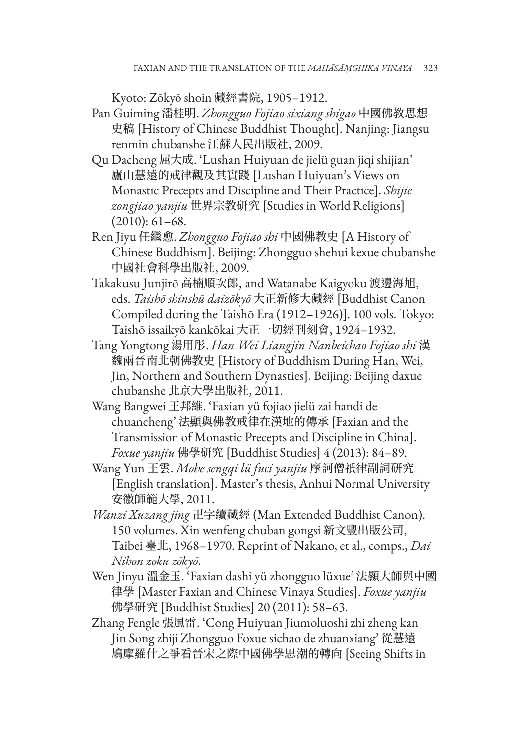Kyoto: Zōkyō shoin 藏經書院, 1905–1912.

- Pan Guiming 潘桂明. *Zhongguo Fojiao sixiang shigao* 中國佛教思想 史稿 [History of Chinese Buddhist Thought]. Nanjing: Jiangsu renmin chubanshe 江蘇人民出版社, 2009.
- Qu Dacheng 屈大成. 'Lushan Huiyuan de jielü guan jiqi shijian' 廬山慧遠的戒律觀及其實踐 [Lushan Huiyuan's Views on Monastic Precepts and Discipline and Their Practice]. *Shijie zongjiao yanjiu* 世界宗教研究 [Studies in World Religions] (2010): 61–68.
- Ren Jiyu 任繼愈. *Zhongguo Fojiao shi* 中國佛教史 [A History of Chinese Buddhism]. Beijing: Zhongguo shehui kexue chubanshe 中國社會科學出版社, 2009.
- Takakusu Junjirō 高楠順次郎, and Watanabe Kaigyoku 渡邊海旭, eds. *Taishō shinshū daizōkyō* 大正新修大藏經 [Buddhist Canon Compiled during the Taishō Era (1912–1926)]. 100 vols. Tokyo: Taishō issaikyō kankōkai 大正一切經刊刻會, 1924–1932.
- Tang Yongtong 湯用彤. *Han Wei Liangjin Nanbeichao Fojiao shi* 漢 魏兩晉南北朝佛教史 [History of Buddhism During Han, Wei, Jin, Northern and Southern Dynasties]. Beijing: Beijing daxue chubanshe 北京大學出版社, 2011.
- Wang Bangwei 王邦維. 'Faxian yü fojiao jielü zai handi de chuancheng' 法顯與佛教戒律在漢地的傳承 [Faxian and the Transmission of Monastic Precepts and Discipline in China]. *Foxue yanjiu* 佛學研究 [Buddhist Studies] 4 (2013): 84–89.
- Wang Yun 王雲. *Mohe sengqi lü fuci yanjiu* 摩訶僧祇律副詞研究 [English translation]. Master's thesis, Anhui Normal University 安徽師範大學, 2011.
- *Wanzi Xuzang jing* 卍字續藏經 (Man Extended Buddhist Canon). 150 volumes. Xin wenfeng chuban gongsi 新文豐出版公司, Taibei 臺北, 1968–1970. Reprint of Nakano, et al., comps., *Dai Nihon zoku zōkyō*.
- Wen Jinyu 溫金玉. 'Faxian dashi yü zhongguo lüxue' 法顯大師與中國 律學 [Master Faxian and Chinese Vinaya Studies]. *Foxue yanjiu* 佛學研究 [Buddhist Studies] 20 (2011): 58–63.
- Zhang Fengle 張風雷. 'Cong Huiyuan Jiumoluoshi zhi zheng kan Jin Song zhiji Zhongguo Foxue sichao de zhuanxiang' 從慧遠 鳩摩羅什之爭看晉宋之際中國佛學思潮的轉向 [Seeing Shifts in